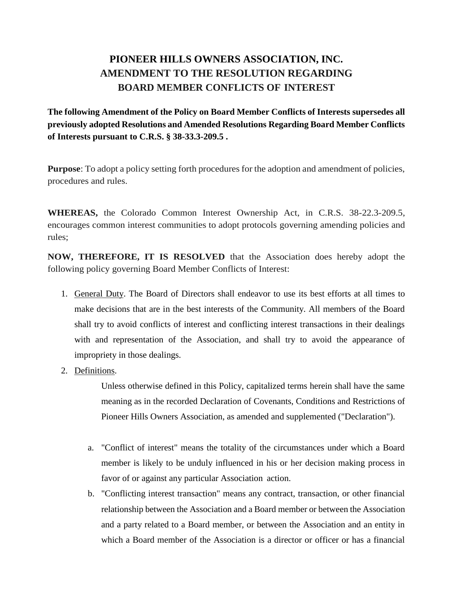## **PIONEER HILLS OWNERS ASSOCIATION, INC. AMENDMENT TO THE RESOLUTION REGARDING BOARD MEMBER CONFLICTS OF INTEREST**

**The following Amendment of the Policy on Board Member Conflicts of Interests supersedes all previously adopted Resolutions and Amended Resolutions Regarding Board Member Conflicts of Interests pursuant to C.R.S. § 38-33.3-209.5 .**

**Purpose**: To adopt a policy setting forth procedures for the adoption and amendment of policies, procedures and rules.

**WHEREAS,** the Colorado Common Interest Ownership Act, in C.R.S. 38-22.3-209.5, encourages common interest communities to adopt protocols governing amending policies and rules;

**NOW, THEREFORE, IT IS RESOLVED** that the Association does hereby adopt the following policy governing Board Member Conflicts of Interest:

- 1. General Duty. The Board of Directors shall endeavor to use its best efforts at all times to make decisions that are in the best interests of the Community. All members of the Board shall try to avoid conflicts of interest and conflicting interest transactions in their dealings with and representation of the Association, and shall try to avoid the appearance of impropriety in those dealings.
- 2. Definitions.

Unless otherwise defined in this Policy, capitalized terms herein shall have the same meaning as in the recorded Declaration of Covenants, Conditions and Restrictions of Pioneer Hills Owners Association, as amended and supplemented ("Declaration").

- a. "Conflict of interest" means the totality of the circumstances under which a Board member is likely to be unduly influenced in his or her decision making process in favor of or against any particular Association action.
- b. "Conflicting interest transaction" means any contract, transaction, or other financial relationship between the Association and a Board member or between the Association and a party related to a Board member, or between the Association and an entity in which a Board member of the Association is a director or officer or has a financial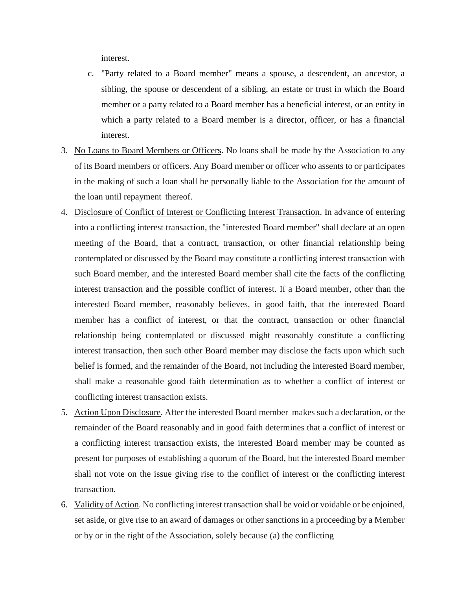interest.

- c. "Party related to a Board member" means a spouse, a descendent, an ancestor, a sibling, the spouse or descendent of a sibling, an estate or trust in which the Board member or a party related to a Board member has a beneficial interest, or an entity in which a party related to a Board member is a director, officer, or has a financial interest.
- 3. No Loans to Board Members or Officers. No loans shall be made by the Association to any of its Board members or officers. Any Board member or officer who assents to or participates in the making of such a loan shall be personally liable to the Association for the amount of the loan until repayment thereof.
- 4. Disclosure of Conflict of Interest or Conflicting Interest Transaction. In advance of entering into a conflicting interest transaction, the "interested Board member" shall declare at an open meeting of the Board, that a contract, transaction, or other financial relationship being contemplated or discussed by the Board may constitute a conflicting interest transaction with such Board member, and the interested Board member shall cite the facts of the conflicting interest transaction and the possible conflict of interest. If a Board member, other than the interested Board member, reasonably believes, in good faith, that the interested Board member has a conflict of interest, or that the contract, transaction or other financial relationship being contemplated or discussed might reasonably constitute a conflicting interest transaction, then such other Board member may disclose the facts upon which such belief is formed, and the remainder of the Board, not including the interested Board member, shall make a reasonable good faith determination as to whether a conflict of interest or conflicting interest transaction exists.
- 5. Action Upon Disclosure. After the interested Board member makes such a declaration, or the remainder of the Board reasonably and in good faith determines that a conflict of interest or a conflicting interest transaction exists, the interested Board member may be counted as present for purposes of establishing a quorum of the Board, but the interested Board member shall not vote on the issue giving rise to the conflict of interest or the conflicting interest transaction.
- 6. Validity of Action. No conflicting interest transaction shall be void or voidable or be enjoined, set aside, or give rise to an award of damages or other sanctions in a proceeding by a Member or by or in the right of the Association, solely because (a) the conflicting